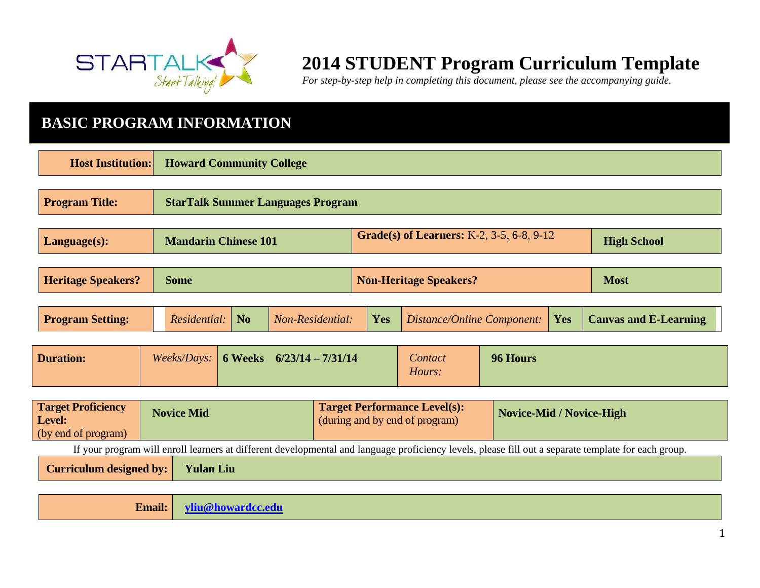

# **2014 STUDENT Program Curriculum Template**

*For step-by-step help in completing this document, please see the accompanying guide.* 

## **BASIC PROGRAM INFORMATION**

| <b>Host Institution:</b>                                   |                   | <b>Howard Community College</b>                                                                |                             |            |                                                                       |                                 |     |                              |
|------------------------------------------------------------|-------------------|------------------------------------------------------------------------------------------------|-----------------------------|------------|-----------------------------------------------------------------------|---------------------------------|-----|------------------------------|
| <b>Program Title:</b>                                      |                   | <b>StarTalk Summer Languages Program</b>                                                       |                             |            |                                                                       |                                 |     |                              |
| Language(s):                                               |                   | Grade(s) of Learners: K-2, 3-5, 6-8, 9-12<br><b>Mandarin Chinese 101</b><br><b>High School</b> |                             |            |                                                                       |                                 |     |                              |
| <b>Heritage Speakers?</b>                                  | <b>Some</b>       | <b>Most</b><br><b>Non-Heritage Speakers?</b>                                                   |                             |            |                                                                       |                                 |     |                              |
| <b>Program Setting:</b>                                    | Residential:      | N <sub>o</sub>                                                                                 | Non-Residential:            | <b>Yes</b> | Distance/Online Component:                                            |                                 | Yes | <b>Canvas and E-Learning</b> |
| <b>Duration:</b>                                           | Weeks/Days:       |                                                                                                | 6 Weeks $6/23/14 - 7/31/14$ |            | Contact<br>Hours:                                                     | 96 Hours                        |     |                              |
| <b>Target Proficiency</b><br>Level:<br>(by end of program) | <b>Novice Mid</b> |                                                                                                |                             |            | <b>Target Performance Level(s):</b><br>(during and by end of program) | <b>Novice-Mid / Novice-High</b> |     |                              |

If your program will enroll learners at different developmental and language proficiency levels, please fill out a separate template for each group.

**Curriculum designed by: Yulan Liu** 

**Email: [yliu@howardcc.edu](mailto:yliu@howardcc.edu)**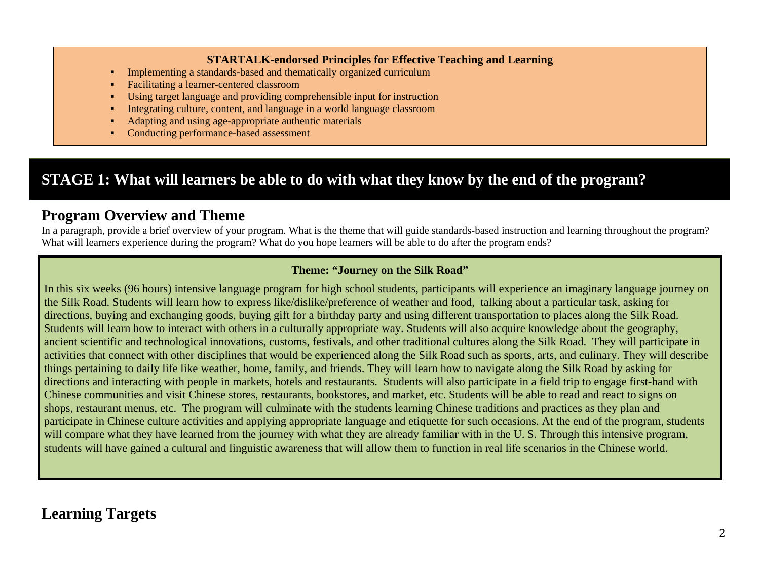#### **STARTALK-endorsed Principles for Effective Teaching and Learning**

- Implementing a standards-based and thematically organized curriculum
- Facilitating a learner-centered classroom
- Using target language and providing comprehensible input for instruction
- Integrating culture, content, and language in a world language classroom
- Adapting and using age-appropriate authentic materials
- Conducting performance-based assessment

## **STAGE 1: What will learners be able to do with what they know by the end of the program?**

#### **Program Overview and Theme**

In a paragraph, provide a brief overview of your program. What is the theme that will guide standards-based instruction and learning throughout the program? What will learners experience during the program? What do you hope learners will be able to do after the program ends?

#### **Theme: "Journey on the Silk Road"**

In this six weeks (96 hours) intensive language program for high school students, participants will experience an imaginary language journey on the Silk Road. Students will learn how to express like/dislike/preference of weather and food, talking about a particular task, asking for directions, buying and exchanging goods, buying gift for a birthday party and using different transportation to places along the Silk Road. Students will learn how to interact with others in a culturally appropriate way. Students will also acquire knowledge about the geography, ancient scientific and technological innovations, customs, festivals, and other traditional cultures along the Silk Road. They will participate in activities that connect with other disciplines that would be experienced along the Silk Road such as sports, arts, and culinary. They will describe things pertaining to daily life like weather, home, family, and friends. They will learn how to navigate along the Silk Road by asking for directions and interacting with people in markets, hotels and restaurants. Students will also participate in a field trip to engage first-hand with Chinese communities and visit Chinese stores, restaurants, bookstores, and market, etc. Students will be able to read and react to signs on shops, restaurant menus, etc. The program will culminate with the students learning Chinese traditions and practices as they plan and participate in Chinese culture activities and applying appropriate language and etiquette for such occasions. At the end of the program, students will compare what they have learned from the journey with what they are already familiar with in the U.S. Through this intensive program, students will have gained a cultural and linguistic awareness that will allow them to function in real life scenarios in the Chinese world.

## **Learning Targets**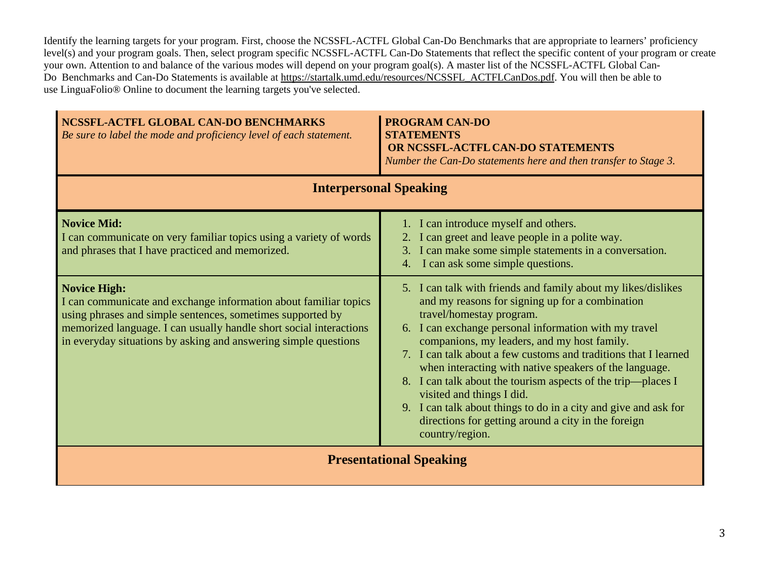Identify the learning targets for your program. First, choose the NCSSFL-ACTFL Global Can-Do Benchmarks that are appropriate to learners' proficiency level(s) and your program goals. Then, select program specific NCSSFL-ACTFL Can-Do Statements that reflect the specific content of your program or create your own. Attention to and balance of the various modes will depend on your program goal(s). A master list of the NCSSFL-ACTFL Global CanDo Benchmarks and Can-Do Statements is available at [https://startalk.umd.edu/resources/NCSSFL\\_ACTFLCanDos.pdf.](https://startalk.umd.edu/resources/NCSSFL_ACTFLCanDos.pdf) You will then be able to use LinguaFolio® Online to document the learning targets you've selected.

| NCSSFL-ACTFL GLOBAL CAN-DO BENCHMARKS<br>Be sure to label the mode and proficiency level of each statement.                                                                                                                                                                                    | <b>PROGRAM CAN-DO</b><br><b>STATEMENTS</b><br>OR NCSSFL-ACTFL CAN-DO STATEMENTS<br>Number the Can-Do statements here and then transfer to Stage 3.                                                                                                                                                                                                                                                                                                                                                                                                                                                                             |  |  |
|------------------------------------------------------------------------------------------------------------------------------------------------------------------------------------------------------------------------------------------------------------------------------------------------|--------------------------------------------------------------------------------------------------------------------------------------------------------------------------------------------------------------------------------------------------------------------------------------------------------------------------------------------------------------------------------------------------------------------------------------------------------------------------------------------------------------------------------------------------------------------------------------------------------------------------------|--|--|
|                                                                                                                                                                                                                                                                                                | <b>Interpersonal Speaking</b>                                                                                                                                                                                                                                                                                                                                                                                                                                                                                                                                                                                                  |  |  |
| <b>Novice Mid:</b><br>I can communicate on very familiar topics using a variety of words<br>and phrases that I have practiced and memorized.                                                                                                                                                   | 1. I can introduce myself and others.<br>2. I can greet and leave people in a polite way.<br>3. I can make some simple statements in a conversation.<br>I can ask some simple questions.<br>4.                                                                                                                                                                                                                                                                                                                                                                                                                                 |  |  |
| <b>Novice High:</b><br>I can communicate and exchange information about familiar topics<br>using phrases and simple sentences, sometimes supported by<br>memorized language. I can usually handle short social interactions<br>in everyday situations by asking and answering simple questions | 5. I can talk with friends and family about my likes/dislikes<br>and my reasons for signing up for a combination<br>travel/homestay program.<br>I can exchange personal information with my travel<br>6.<br>companions, my leaders, and my host family.<br>7. I can talk about a few customs and traditions that I learned<br>when interacting with native speakers of the language.<br>8. I can talk about the tourism aspects of the trip—places I<br>visited and things I did.<br>9. I can talk about things to do in a city and give and ask for<br>directions for getting around a city in the foreign<br>country/region. |  |  |
| <b>Presentational Speaking</b>                                                                                                                                                                                                                                                                 |                                                                                                                                                                                                                                                                                                                                                                                                                                                                                                                                                                                                                                |  |  |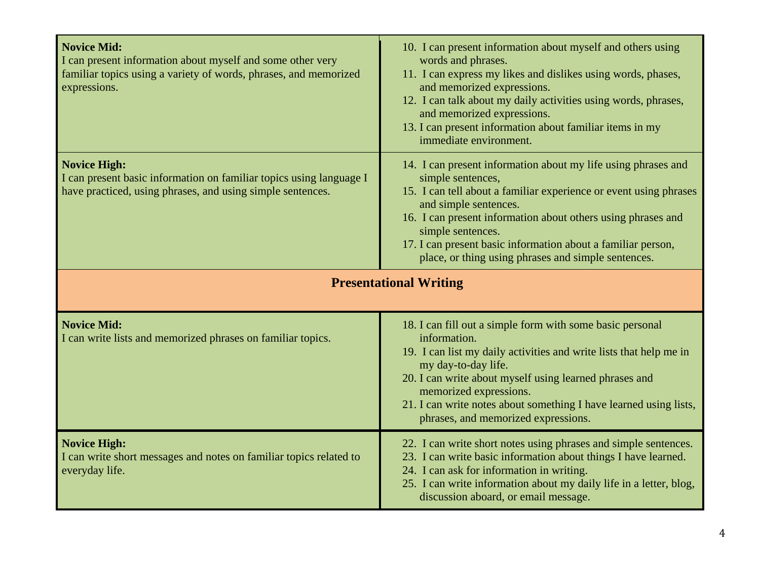| <b>Novice Mid:</b><br>I can present information about myself and some other very<br>familiar topics using a variety of words, phrases, and memorized<br>expressions. | 10. I can present information about myself and others using<br>words and phrases.<br>11. I can express my likes and dislikes using words, phases,<br>and memorized expressions.<br>12. I can talk about my daily activities using words, phrases,<br>and memorized expressions.<br>13. I can present information about familiar items in my<br>immediate environment.                        |  |  |
|----------------------------------------------------------------------------------------------------------------------------------------------------------------------|----------------------------------------------------------------------------------------------------------------------------------------------------------------------------------------------------------------------------------------------------------------------------------------------------------------------------------------------------------------------------------------------|--|--|
| <b>Novice High:</b><br>I can present basic information on familiar topics using language I<br>have practiced, using phrases, and using simple sentences.             | 14. I can present information about my life using phrases and<br>simple sentences,<br>15. I can tell about a familiar experience or event using phrases<br>and simple sentences.<br>16. I can present information about others using phrases and<br>simple sentences.<br>17. I can present basic information about a familiar person,<br>place, or thing using phrases and simple sentences. |  |  |
| <b>Presentational Writing</b>                                                                                                                                        |                                                                                                                                                                                                                                                                                                                                                                                              |  |  |
| <b>Novice Mid:</b><br>I can write lists and memorized phrases on familiar topics.                                                                                    | 18. I can fill out a simple form with some basic personal<br>information.<br>19. I can list my daily activities and write lists that help me in<br>my day-to-day life.<br>20. I can write about myself using learned phrases and<br>memorized expressions.<br>21. I can write notes about something I have learned using lists,<br>phrases, and memorized expressions.                       |  |  |
| <b>Novice High:</b><br>I can write short messages and notes on familiar topics related to<br>everyday life.                                                          | 22. I can write short notes using phrases and simple sentences.<br>23. I can write basic information about things I have learned.<br>24. I can ask for information in writing.<br>25. I can write information about my daily life in a letter, blog,<br>discussion aboard, or email message.                                                                                                 |  |  |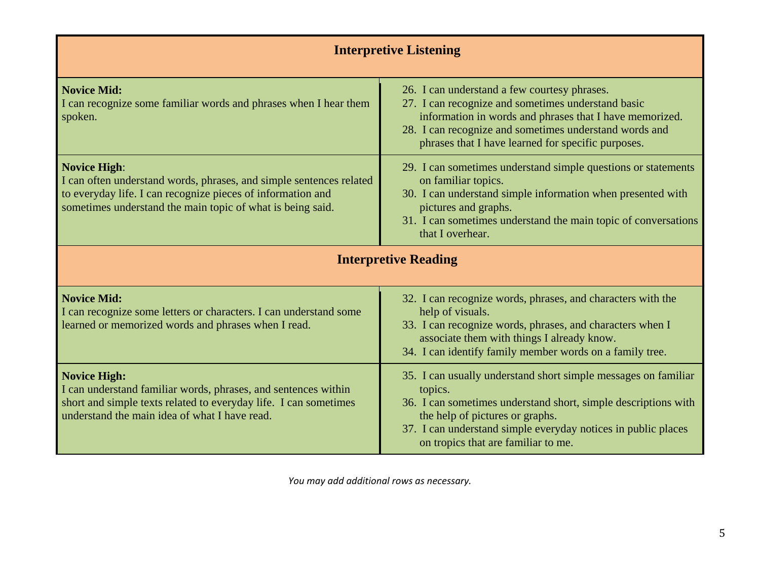| <b>Interpretive Listening</b>                                                                                                                                                                                           |                                                                                                                                                                                                                                                                                        |  |  |  |
|-------------------------------------------------------------------------------------------------------------------------------------------------------------------------------------------------------------------------|----------------------------------------------------------------------------------------------------------------------------------------------------------------------------------------------------------------------------------------------------------------------------------------|--|--|--|
| <b>Novice Mid:</b><br>I can recognize some familiar words and phrases when I hear them<br>spoken.                                                                                                                       | 26. I can understand a few courtesy phrases.<br>27. I can recognize and sometimes understand basic<br>information in words and phrases that I have memorized.<br>28. I can recognize and sometimes understand words and<br>phrases that I have learned for specific purposes.          |  |  |  |
| <b>Novice High:</b><br>I can often understand words, phrases, and simple sentences related<br>to everyday life. I can recognize pieces of information and<br>sometimes understand the main topic of what is being said. | 29. I can sometimes understand simple questions or statements<br>on familiar topics.<br>30. I can understand simple information when presented with<br>pictures and graphs.<br>31. I can sometimes understand the main topic of conversations<br>that I overhear.                      |  |  |  |
| <b>Interpretive Reading</b>                                                                                                                                                                                             |                                                                                                                                                                                                                                                                                        |  |  |  |
| <b>Novice Mid:</b><br>I can recognize some letters or characters. I can understand some<br>learned or memorized words and phrases when I read.                                                                          | 32. I can recognize words, phrases, and characters with the<br>help of visuals.<br>33. I can recognize words, phrases, and characters when I<br>associate them with things I already know.<br>34. I can identify family member words on a family tree.                                 |  |  |  |
| <b>Novice High:</b><br>I can understand familiar words, phrases, and sentences within<br>short and simple texts related to everyday life. I can sometimes<br>understand the main idea of what I have read.              | 35. I can usually understand short simple messages on familiar<br>topics.<br>36. I can sometimes understand short, simple descriptions with<br>the help of pictures or graphs.<br>37. I can understand simple everyday notices in public places<br>on tropics that are familiar to me. |  |  |  |

*You may add additional rows as necessary.*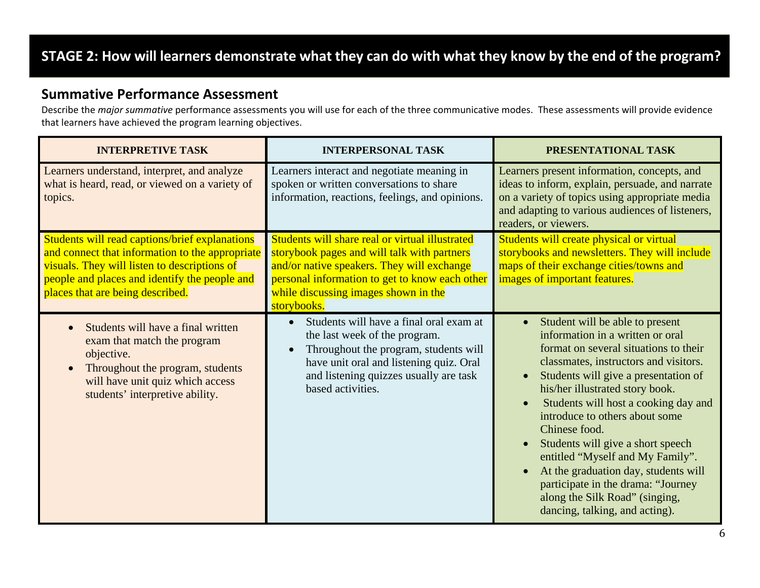## **STAGE 2: How will learners demonstrate what they can do with what they know by the end of the program?**

#### **Summative Performance Assessment**

Describe the *major summative* performance assessments you will use for each of the three communicative modes. These assessments will provide evidence that learners have achieved the program learning objectives.

| <b>INTERPRETIVE TASK</b>                                                                                                                                                                                                               | <b>INTERPERSONAL TASK</b>                                                                                                                                                                                                                             | PRESENTATIONAL TASK                                                                                                                                                                                                                                                                                                                                                                                                                                                                                                                                                              |
|----------------------------------------------------------------------------------------------------------------------------------------------------------------------------------------------------------------------------------------|-------------------------------------------------------------------------------------------------------------------------------------------------------------------------------------------------------------------------------------------------------|----------------------------------------------------------------------------------------------------------------------------------------------------------------------------------------------------------------------------------------------------------------------------------------------------------------------------------------------------------------------------------------------------------------------------------------------------------------------------------------------------------------------------------------------------------------------------------|
| Learners understand, interpret, and analyze<br>what is heard, read, or viewed on a variety of<br>topics.                                                                                                                               | Learners interact and negotiate meaning in<br>spoken or written conversations to share<br>information, reactions, feelings, and opinions.                                                                                                             | Learners present information, concepts, and<br>ideas to inform, explain, persuade, and narrate<br>on a variety of topics using appropriate media<br>and adapting to various audiences of listeners,<br>readers, or viewers.                                                                                                                                                                                                                                                                                                                                                      |
| Students will read captions/brief explanations<br>and connect that information to the appropriate<br>visuals. They will listen to descriptions of<br>people and places and identify the people and<br>places that are being described. | Students will share real or virtual illustrated<br>storybook pages and will talk with partners<br>and/or native speakers. They will exchange<br>personal information to get to know each other<br>while discussing images shown in the<br>storybooks. | Students will create physical or virtual<br>storybooks and newsletters. They will include<br>maps of their exchange cities/towns and<br>images of important features.                                                                                                                                                                                                                                                                                                                                                                                                            |
| Students will have a final written<br>exam that match the program<br>objective.<br>Throughout the program, students<br>will have unit quiz which access<br>students' interpretive ability.                                             | Students will have a final oral exam at<br>the last week of the program.<br>Throughout the program, students will<br>have unit oral and listening quiz. Oral<br>and listening quizzes usually are task<br>based activities.                           | Student will be able to present<br>$\bullet$<br>information in a written or oral<br>format on several situations to their<br>classmates, instructors and visitors.<br>Students will give a presentation of<br>$\bullet$<br>his/her illustrated story book.<br>Students will host a cooking day and<br>introduce to others about some<br>Chinese food.<br>Students will give a short speech<br>entitled "Myself and My Family".<br>At the graduation day, students will<br>participate in the drama: "Journey<br>along the Silk Road" (singing,<br>dancing, talking, and acting). |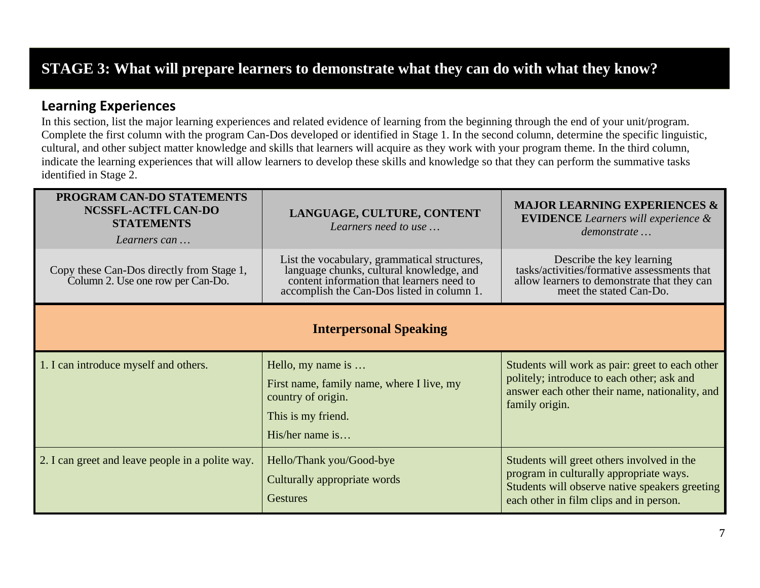## **STAGE 3: What will prepare learners to demonstrate what they can do with what they know?**

#### **Learning Experiences**

In this section, list the major learning experiences and related evidence of learning from the beginning through the end of your unit/program. Complete the first column with the program Can-Dos developed or identified in Stage 1. In the second column, determine the specific linguistic, cultural, and other subject matter knowledge and skills that learners will acquire as they work with your program theme. In the third column, indicate the learning experiences that will allow learners to develop these skills and knowledge so that they can perform the summative tasks identified in Stage 2.

| PROGRAM CAN-DO STATEMENTS<br><b>NCSSFL-ACTFL CAN-DO</b><br><b>STATEMENTS</b><br>Learners can | LANGUAGE, CULTURE, CONTENT<br>Learners need to use                                                                                                                                  | <b>MAJOR LEARNING EXPERIENCES &amp;</b><br><b>EVIDENCE</b> Learners will experience &<br>demonstrate                                                                               |  |  |  |
|----------------------------------------------------------------------------------------------|-------------------------------------------------------------------------------------------------------------------------------------------------------------------------------------|------------------------------------------------------------------------------------------------------------------------------------------------------------------------------------|--|--|--|
| Copy these Can-Dos directly from Stage 1,<br>Column 2. Use one row per Can-Do.               | List the vocabulary, grammatical structures,<br>language chunks, cultural knowledge, and<br>content information that learners need to<br>accomplish the Can-Dos listed in column 1. | Describe the key learning<br>tasks/activities/formative assessments that<br>allow learners to demonstrate that they can<br>meet the stated Can-Do.                                 |  |  |  |
| <b>Interpersonal Speaking</b>                                                                |                                                                                                                                                                                     |                                                                                                                                                                                    |  |  |  |
| 1. I can introduce myself and others.                                                        | Hello, my name is<br>First name, family name, where I live, my<br>country of origin.<br>This is my friend.<br>His/her name is                                                       | Students will work as pair: greet to each other<br>politely; introduce to each other; ask and<br>answer each other their name, nationality, and<br>family origin.                  |  |  |  |
| 2. I can greet and leave people in a polite way.                                             | Hello/Thank you/Good-bye<br>Culturally appropriate words<br><b>Gestures</b>                                                                                                         | Students will greet others involved in the<br>program in culturally appropriate ways.<br>Students will observe native speakers greeting<br>each other in film clips and in person. |  |  |  |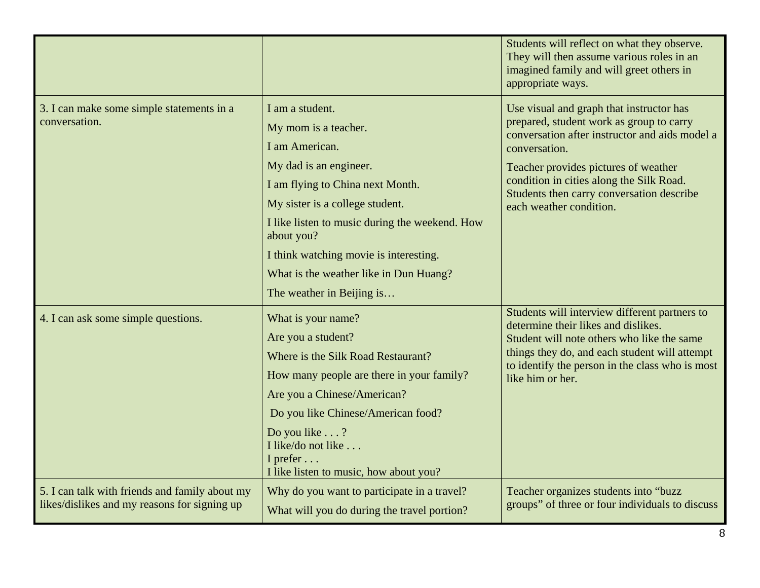|                                                                                                |                                                                                                                                                                                                                                                                                                                                             | Students will reflect on what they observe.<br>They will then assume various roles in an<br>imagined family and will greet others in<br>appropriate ways.                                                                                                                                                           |
|------------------------------------------------------------------------------------------------|---------------------------------------------------------------------------------------------------------------------------------------------------------------------------------------------------------------------------------------------------------------------------------------------------------------------------------------------|---------------------------------------------------------------------------------------------------------------------------------------------------------------------------------------------------------------------------------------------------------------------------------------------------------------------|
| 3. I can make some simple statements in a<br>conversation.                                     | I am a student.<br>My mom is a teacher.<br>I am American.<br>My dad is an engineer.<br>I am flying to China next Month.<br>My sister is a college student.<br>I like listen to music during the weekend. How<br>about you?<br>I think watching movie is interesting.<br>What is the weather like in Dun Huang?<br>The weather in Beijing is | Use visual and graph that instructor has<br>prepared, student work as group to carry<br>conversation after instructor and aids model a<br>conversation.<br>Teacher provides pictures of weather<br>condition in cities along the Silk Road.<br>Students then carry conversation describe<br>each weather condition. |
| 4. I can ask some simple questions.                                                            | What is your name?<br>Are you a student?<br>Where is the Silk Road Restaurant?<br>How many people are there in your family?<br>Are you a Chinese/American?<br>Do you like Chinese/American food?<br>Do you like ?<br>I like/do not like<br>I prefer<br>I like listen to music, how about you?                                               | Students will interview different partners to<br>determine their likes and dislikes.<br>Student will note others who like the same<br>things they do, and each student will attempt<br>to identify the person in the class who is most<br>like him or her.                                                          |
| 5. I can talk with friends and family about my<br>likes/dislikes and my reasons for signing up | Why do you want to participate in a travel?<br>What will you do during the travel portion?                                                                                                                                                                                                                                                  | Teacher organizes students into "buzz<br>groups" of three or four individuals to discuss                                                                                                                                                                                                                            |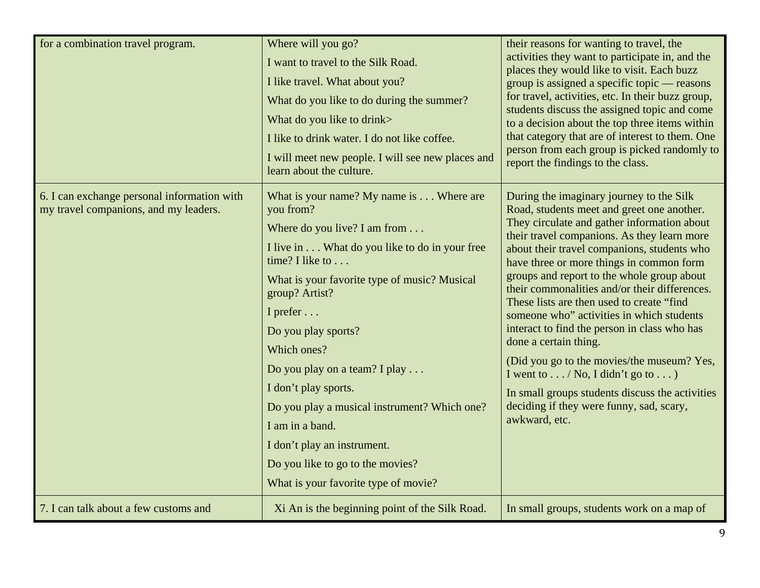| for a combination travel program.                                                    | Where will you go?<br>I want to travel to the Silk Road.<br>I like travel. What about you?<br>What do you like to do during the summer?<br>What do you like to drink><br>I like to drink water. I do not like coffee.<br>I will meet new people. I will see new places and<br>learn about the culture.                                                                                                                                                                                                                      | their reasons for wanting to travel, the<br>activities they want to participate in, and the<br>places they would like to visit. Each buzz<br>group is assigned a specific topic — reasons<br>for travel, activities, etc. In their buzz group,<br>students discuss the assigned topic and come<br>to a decision about the top three items within<br>that category that are of interest to them. One<br>person from each group is picked randomly to<br>report the findings to the class.                                                                                                                                                                                                                                                                             |
|--------------------------------------------------------------------------------------|-----------------------------------------------------------------------------------------------------------------------------------------------------------------------------------------------------------------------------------------------------------------------------------------------------------------------------------------------------------------------------------------------------------------------------------------------------------------------------------------------------------------------------|----------------------------------------------------------------------------------------------------------------------------------------------------------------------------------------------------------------------------------------------------------------------------------------------------------------------------------------------------------------------------------------------------------------------------------------------------------------------------------------------------------------------------------------------------------------------------------------------------------------------------------------------------------------------------------------------------------------------------------------------------------------------|
| 6. I can exchange personal information with<br>my travel companions, and my leaders. | What is your name? My name is $\dots$ Where are<br>you from?<br>Where do you live? I am from<br>I live in What do you like to do in your free<br>time? I like to<br>What is your favorite type of music? Musical<br>group? Artist?<br>I prefer<br>Do you play sports?<br>Which ones?<br>Do you play on a team? I play<br>I don't play sports.<br>Do you play a musical instrument? Which one?<br>I am in a band.<br>I don't play an instrument.<br>Do you like to go to the movies?<br>What is your favorite type of movie? | During the imaginary journey to the Silk<br>Road, students meet and greet one another.<br>They circulate and gather information about<br>their travel companions. As they learn more<br>about their travel companions, students who<br>have three or more things in common form<br>groups and report to the whole group about<br>their commonalities and/or their differences.<br>These lists are then used to create "find"<br>someone who" activities in which students<br>interact to find the person in class who has<br>done a certain thing.<br>(Did you go to the movies/the museum? Yes,<br>I went to $\dots$ / No, I didn't go to $\dots$ )<br>In small groups students discuss the activities<br>deciding if they were funny, sad, scary,<br>awkward, etc. |
| 7. I can talk about a few customs and                                                | Xi An is the beginning point of the Silk Road.                                                                                                                                                                                                                                                                                                                                                                                                                                                                              | In small groups, students work on a map of                                                                                                                                                                                                                                                                                                                                                                                                                                                                                                                                                                                                                                                                                                                           |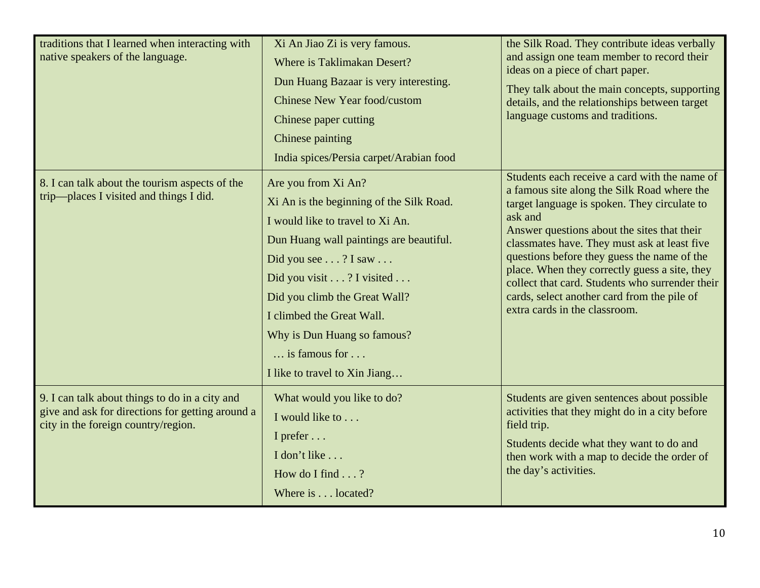| traditions that I learned when interacting with<br>native speakers of the language.                                                       | Xi An Jiao Zi is very famous.<br>Where is Taklimakan Desert?<br>Dun Huang Bazaar is very interesting.<br><b>Chinese New Year food/custom</b><br>Chinese paper cutting<br>Chinese painting<br>India spices/Persia carpet/Arabian food                                                                                                                                | the Silk Road. They contribute ideas verbally<br>and assign one team member to record their<br>ideas on a piece of chart paper.<br>They talk about the main concepts, supporting<br>details, and the relationships between target<br>language customs and traditions.                                                                                                                                                                                                                     |
|-------------------------------------------------------------------------------------------------------------------------------------------|---------------------------------------------------------------------------------------------------------------------------------------------------------------------------------------------------------------------------------------------------------------------------------------------------------------------------------------------------------------------|-------------------------------------------------------------------------------------------------------------------------------------------------------------------------------------------------------------------------------------------------------------------------------------------------------------------------------------------------------------------------------------------------------------------------------------------------------------------------------------------|
| 8. I can talk about the tourism aspects of the<br>trip-places I visited and things I did.                                                 | Are you from Xi An?<br>Xi An is the beginning of the Silk Road.<br>I would like to travel to Xi An.<br>Dun Huang wall paintings are beautiful.<br>Did you see ? I saw<br>Did you visit ? I visited<br>Did you climb the Great Wall?<br>I climbed the Great Wall.<br>Why is Dun Huang so famous?<br>$\ldots$ is famous for $\ldots$<br>I like to travel to Xin Jiang | Students each receive a card with the name of<br>a famous site along the Silk Road where the<br>target language is spoken. They circulate to<br>ask and<br>Answer questions about the sites that their<br>classmates have. They must ask at least five<br>questions before they guess the name of the<br>place. When they correctly guess a site, they<br>collect that card. Students who surrender their<br>cards, select another card from the pile of<br>extra cards in the classroom. |
| 9. I can talk about things to do in a city and<br>give and ask for directions for getting around a<br>city in the foreign country/region. | What would you like to do?<br>I would like to<br>I prefer<br>I don't like<br>How do I find $\ldots$ ?<br>Where is located?                                                                                                                                                                                                                                          | Students are given sentences about possible<br>activities that they might do in a city before<br>field trip.<br>Students decide what they want to do and<br>then work with a map to decide the order of<br>the day's activities.                                                                                                                                                                                                                                                          |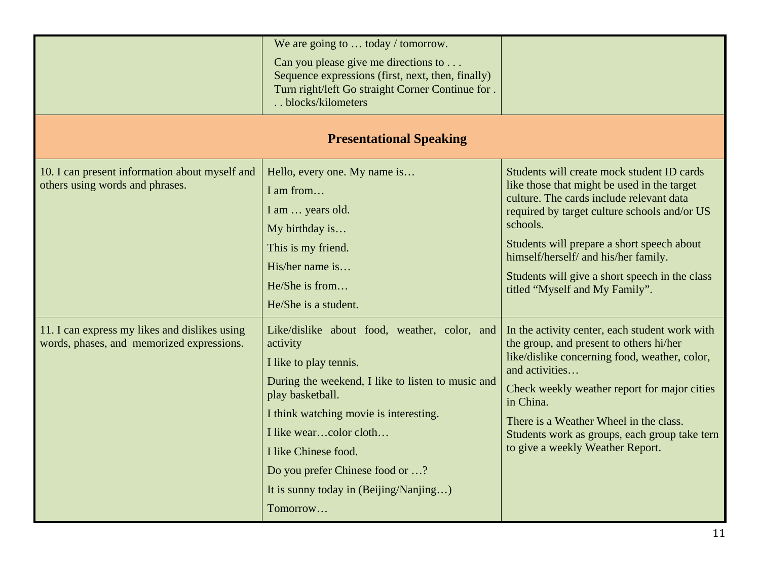|                                                                                            | We are going to  today / tomorrow.<br>Can you please give me directions to $\dots$<br>Sequence expressions (first, next, then, finally)<br>Turn right/left Go straight Corner Continue for.<br>blocks/kilometers                                                                                                                                 |                                                                                                                                                                                                                                                                                                                                                                             |
|--------------------------------------------------------------------------------------------|--------------------------------------------------------------------------------------------------------------------------------------------------------------------------------------------------------------------------------------------------------------------------------------------------------------------------------------------------|-----------------------------------------------------------------------------------------------------------------------------------------------------------------------------------------------------------------------------------------------------------------------------------------------------------------------------------------------------------------------------|
|                                                                                            | <b>Presentational Speaking</b>                                                                                                                                                                                                                                                                                                                   |                                                                                                                                                                                                                                                                                                                                                                             |
| 10. I can present information about myself and<br>others using words and phrases.          | Hello, every one. My name is<br>I am from<br>I am  years old.<br>My birthday is<br>This is my friend.<br>His/her name is<br>He/She is from<br>He/She is a student.                                                                                                                                                                               | Students will create mock student ID cards<br>like those that might be used in the target<br>culture. The cards include relevant data<br>required by target culture schools and/or US<br>schools.<br>Students will prepare a short speech about<br>himself/herself/ and his/her family.<br>Students will give a short speech in the class<br>titled "Myself and My Family". |
| 11. I can express my likes and dislikes using<br>words, phases, and memorized expressions. | Like/dislike about food, weather, color, and<br>activity<br>I like to play tennis.<br>During the weekend, I like to listen to music and<br>play basketball.<br>I think watching movie is interesting.<br>I like wearcolor cloth<br>I like Chinese food.<br>Do you prefer Chinese food or ?<br>It is sunny today in (Beijing/Nanjing)<br>Tomorrow | In the activity center, each student work with<br>the group, and present to others hi/her<br>like/dislike concerning food, weather, color,<br>and activities<br>Check weekly weather report for major cities<br>in China.<br>There is a Weather Wheel in the class.<br>Students work as groups, each group take tern<br>to give a weekly Weather Report.                    |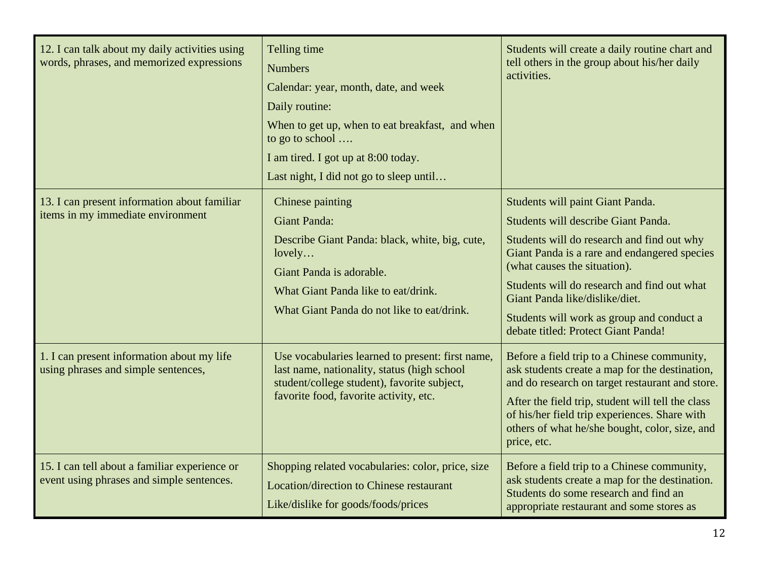| 12. I can talk about my daily activities using<br>words, phrases, and memorized expressions | Telling time<br><b>Numbers</b><br>Calendar: year, month, date, and week<br>Daily routine:<br>When to get up, when to eat breakfast, and when<br>to go to school<br>I am tired. I got up at 8:00 today.<br>Last night, I did not go to sleep until | Students will create a daily routine chart and<br>tell others in the group about his/her daily<br>activities.                                                                                                                                                                                                                                                              |
|---------------------------------------------------------------------------------------------|---------------------------------------------------------------------------------------------------------------------------------------------------------------------------------------------------------------------------------------------------|----------------------------------------------------------------------------------------------------------------------------------------------------------------------------------------------------------------------------------------------------------------------------------------------------------------------------------------------------------------------------|
| 13. I can present information about familiar<br>items in my immediate environment           | Chinese painting<br><b>Giant Panda:</b><br>Describe Giant Panda: black, white, big, cute,<br>lovely<br>Giant Panda is adorable.<br>What Giant Panda like to eat/drink.<br>What Giant Panda do not like to eat/drink.                              | Students will paint Giant Panda.<br>Students will describe Giant Panda.<br>Students will do research and find out why<br>Giant Panda is a rare and endangered species<br>(what causes the situation).<br>Students will do research and find out what<br>Giant Panda like/dislike/diet.<br>Students will work as group and conduct a<br>debate titled: Protect Giant Panda! |
| 1. I can present information about my life<br>using phrases and simple sentences,           | Use vocabularies learned to present: first name,<br>last name, nationality, status (high school<br>student/college student), favorite subject,<br>favorite food, favorite activity, etc.                                                          | Before a field trip to a Chinese community,<br>ask students create a map for the destination,<br>and do research on target restaurant and store.<br>After the field trip, student will tell the class<br>of his/her field trip experiences. Share with<br>others of what he/she bought, color, size, and<br>price, etc.                                                    |
| 15. I can tell about a familiar experience or<br>event using phrases and simple sentences.  | Shopping related vocabularies: color, price, size<br>Location/direction to Chinese restaurant<br>Like/dislike for goods/foods/prices                                                                                                              | Before a field trip to a Chinese community,<br>ask students create a map for the destination.<br>Students do some research and find an<br>appropriate restaurant and some stores as                                                                                                                                                                                        |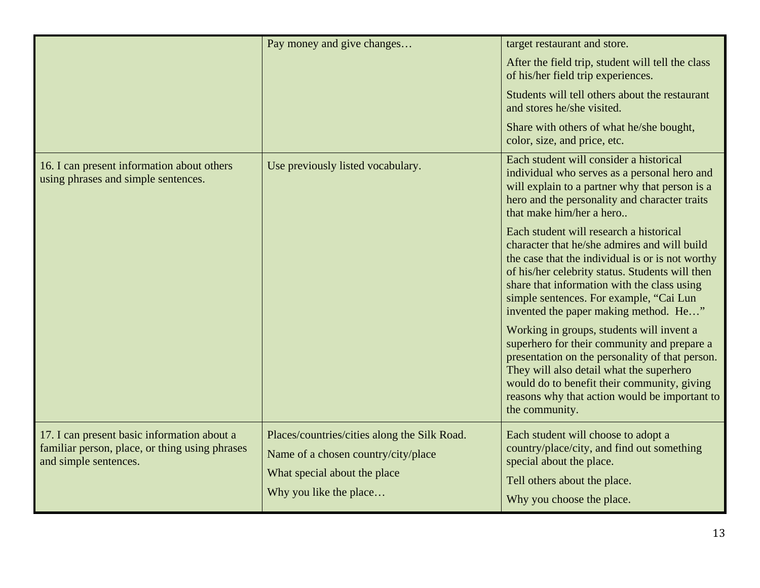|                                                                                                                        | Pay money and give changes                                                                                                                    | target restaurant and store.                                                                                                                                                                                                                                                                                                      |
|------------------------------------------------------------------------------------------------------------------------|-----------------------------------------------------------------------------------------------------------------------------------------------|-----------------------------------------------------------------------------------------------------------------------------------------------------------------------------------------------------------------------------------------------------------------------------------------------------------------------------------|
|                                                                                                                        |                                                                                                                                               | After the field trip, student will tell the class<br>of his/her field trip experiences.                                                                                                                                                                                                                                           |
|                                                                                                                        |                                                                                                                                               | Students will tell others about the restaurant<br>and stores he/she visited.                                                                                                                                                                                                                                                      |
|                                                                                                                        |                                                                                                                                               | Share with others of what he/she bought,<br>color, size, and price, etc.                                                                                                                                                                                                                                                          |
| 16. I can present information about others<br>using phrases and simple sentences.                                      | Use previously listed vocabulary.                                                                                                             | Each student will consider a historical<br>individual who serves as a personal hero and<br>will explain to a partner why that person is a<br>hero and the personality and character traits<br>that make him/her a hero                                                                                                            |
|                                                                                                                        |                                                                                                                                               | Each student will research a historical<br>character that he/she admires and will build<br>the case that the individual is or is not worthy<br>of his/her celebrity status. Students will then<br>share that information with the class using<br>simple sentences. For example, "Cai Lun<br>invented the paper making method. He" |
|                                                                                                                        |                                                                                                                                               | Working in groups, students will invent a<br>superhero for their community and prepare a<br>presentation on the personality of that person.<br>They will also detail what the superhero<br>would do to benefit their community, giving<br>reasons why that action would be important to<br>the community.                         |
| 17. I can present basic information about a<br>familiar person, place, or thing using phrases<br>and simple sentences. | Places/countries/cities along the Silk Road.<br>Name of a chosen country/city/place<br>What special about the place<br>Why you like the place | Each student will choose to adopt a<br>country/place/city, and find out something<br>special about the place.<br>Tell others about the place.<br>Why you choose the place.                                                                                                                                                        |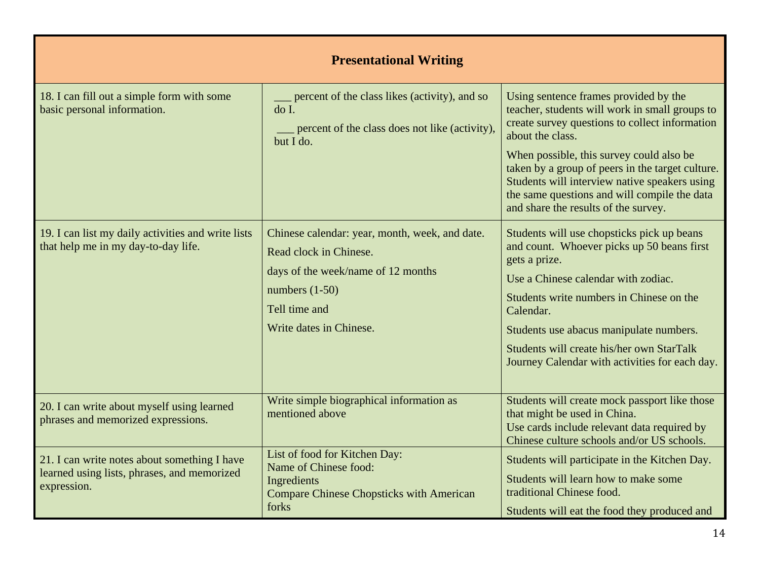| <b>Presentational Writing</b>                                                                              |                                                                                                                                                                                |                                                                                                                                                                                                                                                                                                                                                                                                        |
|------------------------------------------------------------------------------------------------------------|--------------------------------------------------------------------------------------------------------------------------------------------------------------------------------|--------------------------------------------------------------------------------------------------------------------------------------------------------------------------------------------------------------------------------------------------------------------------------------------------------------------------------------------------------------------------------------------------------|
| 18. I can fill out a simple form with some<br>basic personal information.                                  | percent of the class likes (activity), and so<br>do I.<br>percent of the class does not like (activity),<br>but I do.                                                          | Using sentence frames provided by the<br>teacher, students will work in small groups to<br>create survey questions to collect information<br>about the class.<br>When possible, this survey could also be<br>taken by a group of peers in the target culture.<br>Students will interview native speakers using<br>the same questions and will compile the data<br>and share the results of the survey. |
| 19. I can list my daily activities and write lists<br>that help me in my day-to-day life.                  | Chinese calendar: year, month, week, and date.<br>Read clock in Chinese.<br>days of the week/name of 12 months<br>numbers $(1-50)$<br>Tell time and<br>Write dates in Chinese. | Students will use chopsticks pick up beans<br>and count. Whoever picks up 50 beans first<br>gets a prize.<br>Use a Chinese calendar with zodiac.<br>Students write numbers in Chinese on the<br>Calendar.<br>Students use abacus manipulate numbers.<br>Students will create his/her own StarTalk<br>Journey Calendar with activities for each day.                                                    |
| 20. I can write about myself using learned<br>phrases and memorized expressions.                           | Write simple biographical information as<br>mentioned above                                                                                                                    | Students will create mock passport like those<br>that might be used in China.<br>Use cards include relevant data required by<br>Chinese culture schools and/or US schools.                                                                                                                                                                                                                             |
| 21. I can write notes about something I have<br>learned using lists, phrases, and memorized<br>expression. | List of food for Kitchen Day:<br>Name of Chinese food:<br>Ingredients<br><b>Compare Chinese Chopsticks with American</b><br>forks                                              | Students will participate in the Kitchen Day.<br>Students will learn how to make some<br>traditional Chinese food.<br>Students will eat the food they produced and                                                                                                                                                                                                                                     |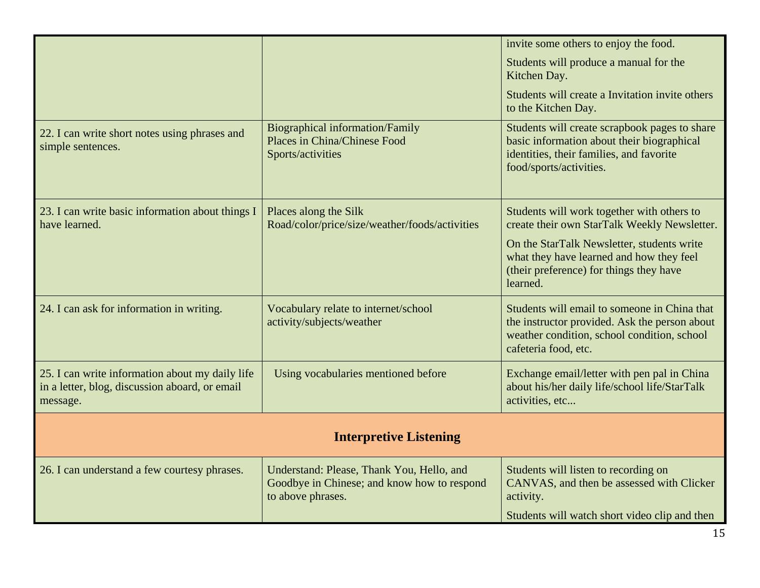|                                                                                                               |                                                                                                               | invite some others to enjoy the food.                                                                                                                                |
|---------------------------------------------------------------------------------------------------------------|---------------------------------------------------------------------------------------------------------------|----------------------------------------------------------------------------------------------------------------------------------------------------------------------|
|                                                                                                               |                                                                                                               | Students will produce a manual for the<br>Kitchen Day.                                                                                                               |
|                                                                                                               |                                                                                                               | Students will create a Invitation invite others<br>to the Kitchen Day.                                                                                               |
| 22. I can write short notes using phrases and<br>simple sentences.                                            | <b>Biographical information/Family</b><br>Places in China/Chinese Food<br>Sports/activities                   | Students will create scrapbook pages to share<br>basic information about their biographical<br>identities, their families, and favorite<br>food/sports/activities.   |
| 23. I can write basic information about things I<br>have learned.                                             | Places along the Silk<br>Road/color/price/size/weather/foods/activities                                       | Students will work together with others to<br>create their own StarTalk Weekly Newsletter.                                                                           |
|                                                                                                               |                                                                                                               | On the StarTalk Newsletter, students write<br>what they have learned and how they feel<br>(their preference) for things they have<br>learned.                        |
| 24. I can ask for information in writing.                                                                     | Vocabulary relate to internet/school<br>activity/subjects/weather                                             | Students will email to someone in China that<br>the instructor provided. Ask the person about<br>weather condition, school condition, school<br>cafeteria food, etc. |
| 25. I can write information about my daily life<br>in a letter, blog, discussion aboard, or email<br>message. | Using vocabularies mentioned before                                                                           | Exchange email/letter with pen pal in China<br>about his/her daily life/school life/StarTalk<br>activities, etc                                                      |
| <b>Interpretive Listening</b>                                                                                 |                                                                                                               |                                                                                                                                                                      |
| 26. I can understand a few courtesy phrases.                                                                  | Understand: Please, Thank You, Hello, and<br>Goodbye in Chinese; and know how to respond<br>to above phrases. | Students will listen to recording on<br>CANVAS, and then be assessed with Clicker<br>activity.                                                                       |
|                                                                                                               |                                                                                                               | Students will watch short video clip and then                                                                                                                        |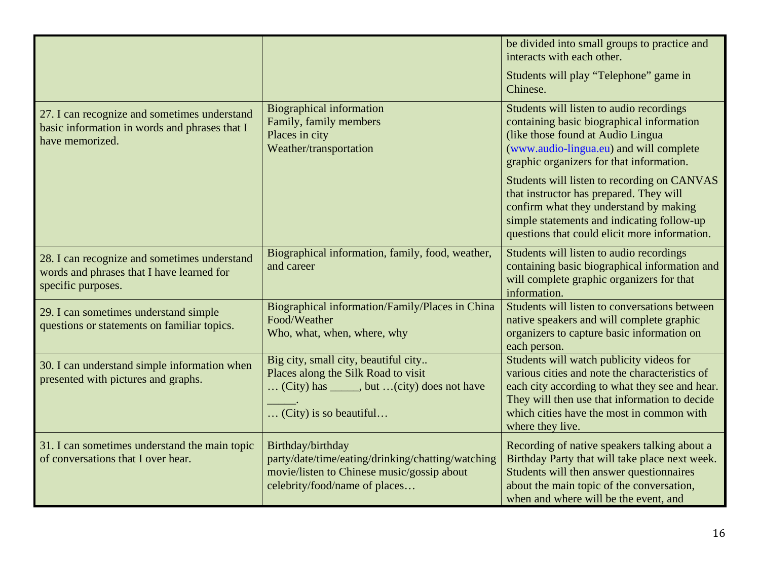|                                                                                                                  |                                                                                                                                                       | be divided into small groups to practice and<br>interacts with each other.<br>Students will play "Telephone" game in<br>Chinese.                                                                                                                               |
|------------------------------------------------------------------------------------------------------------------|-------------------------------------------------------------------------------------------------------------------------------------------------------|----------------------------------------------------------------------------------------------------------------------------------------------------------------------------------------------------------------------------------------------------------------|
| 27. I can recognize and sometimes understand<br>basic information in words and phrases that I<br>have memorized. | <b>Biographical information</b><br>Family, family members<br>Places in city<br>Weather/transportation                                                 | Students will listen to audio recordings<br>containing basic biographical information<br>(like those found at Audio Lingua<br>(www.audio-lingua.eu) and will complete<br>graphic organizers for that information.                                              |
|                                                                                                                  |                                                                                                                                                       | Students will listen to recording on CANVAS<br>that instructor has prepared. They will<br>confirm what they understand by making<br>simple statements and indicating follow-up<br>questions that could elicit more information.                                |
| 28. I can recognize and sometimes understand<br>words and phrases that I have learned for<br>specific purposes.  | Biographical information, family, food, weather,<br>and career                                                                                        | Students will listen to audio recordings<br>containing basic biographical information and<br>will complete graphic organizers for that<br>information.                                                                                                         |
| 29. I can sometimes understand simple<br>questions or statements on familiar topics.                             | Biographical information/Family/Places in China<br>Food/Weather<br>Who, what, when, where, why                                                        | Students will listen to conversations between<br>native speakers and will complete graphic<br>organizers to capture basic information on<br>each person.                                                                                                       |
| 30. I can understand simple information when<br>presented with pictures and graphs.                              | Big city, small city, beautiful city<br>Places along the Silk Road to visit<br>(City) has ______, but  (city) does not have<br>(City) is so beautiful | Students will watch publicity videos for<br>various cities and note the characteristics of<br>each city according to what they see and hear.<br>They will then use that information to decide<br>which cities have the most in common with<br>where they live. |
| 31. I can sometimes understand the main topic<br>of conversations that I over hear.                              | Birthday/birthday<br>party/date/time/eating/drinking/chatting/watching<br>movie/listen to Chinese music/gossip about<br>celebrity/food/name of places | Recording of native speakers talking about a<br>Birthday Party that will take place next week.<br>Students will then answer questionnaires<br>about the main topic of the conversation,<br>when and where will be the event, and                               |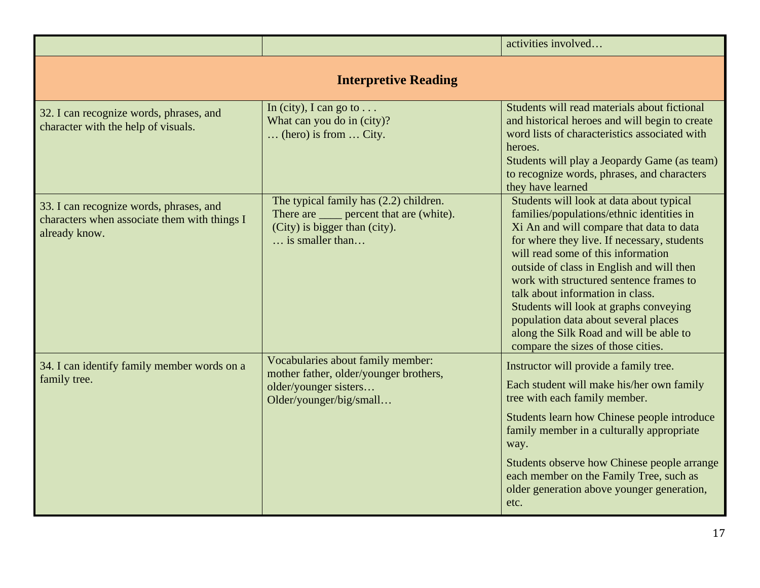|                                                                                                          |                                                                                                                                                        | activities involved                                                                                                                                                                                                                                                                                                                                                                                                                                                                                                   |
|----------------------------------------------------------------------------------------------------------|--------------------------------------------------------------------------------------------------------------------------------------------------------|-----------------------------------------------------------------------------------------------------------------------------------------------------------------------------------------------------------------------------------------------------------------------------------------------------------------------------------------------------------------------------------------------------------------------------------------------------------------------------------------------------------------------|
| <b>Interpretive Reading</b>                                                                              |                                                                                                                                                        |                                                                                                                                                                                                                                                                                                                                                                                                                                                                                                                       |
| 32. I can recognize words, phrases, and<br>character with the help of visuals.                           | In (city), I can go to $\dots$<br>What can you do in (city)?<br>$\ldots$ (hero) is from $\ldots$ City.                                                 | Students will read materials about fictional<br>and historical heroes and will begin to create<br>word lists of characteristics associated with<br>heroes.<br>Students will play a Jeopardy Game (as team)<br>to recognize words, phrases, and characters<br>they have learned                                                                                                                                                                                                                                        |
| 33. I can recognize words, phrases, and<br>characters when associate them with things I<br>already know. | The typical family has (2.2) children.<br>There are <u>equilibration</u> percent that are (white).<br>(City) is bigger than (city).<br>is smaller than | Students will look at data about typical<br>families/populations/ethnic identities in<br>Xi An and will compare that data to data<br>for where they live. If necessary, students<br>will read some of this information<br>outside of class in English and will then<br>work with structured sentence frames to<br>talk about information in class.<br>Students will look at graphs conveying<br>population data about several places<br>along the Silk Road and will be able to<br>compare the sizes of those cities. |
| 34. I can identify family member words on a<br>family tree.                                              | Vocabularies about family member:<br>mother father, older/younger brothers,<br>older/younger sisters<br>Older/younger/big/small                        | Instructor will provide a family tree.<br>Each student will make his/her own family<br>tree with each family member.<br>Students learn how Chinese people introduce<br>family member in a culturally appropriate<br>way.<br>Students observe how Chinese people arrange<br>each member on the Family Tree, such as<br>older generation above younger generation,<br>etc.                                                                                                                                              |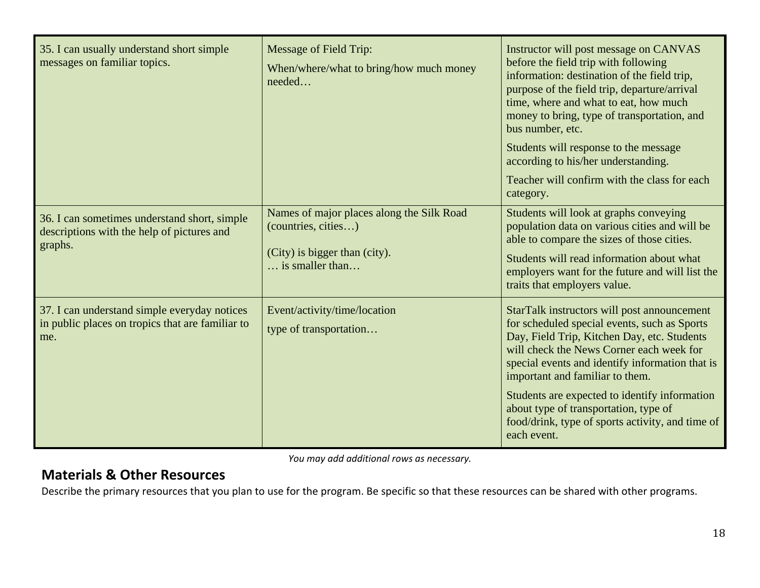| 35. I can usually understand short simple<br>messages on familiar topics.                               | <b>Message of Field Trip:</b><br>When/where/what to bring/how much money<br>needed                                            | Instructor will post message on CANVAS<br>before the field trip with following<br>information: destination of the field trip,<br>purpose of the field trip, departure/arrival<br>time, where and what to eat, how much<br>money to bring, type of transportation, and<br>bus number, etc.<br>Students will response to the message<br>according to his/her understanding.<br>Teacher will confirm with the class for each<br>category.    |
|---------------------------------------------------------------------------------------------------------|-------------------------------------------------------------------------------------------------------------------------------|-------------------------------------------------------------------------------------------------------------------------------------------------------------------------------------------------------------------------------------------------------------------------------------------------------------------------------------------------------------------------------------------------------------------------------------------|
| 36. I can sometimes understand short, simple<br>descriptions with the help of pictures and<br>graphs.   | Names of major places along the Silk Road<br>(countries, cities)<br>(City) is bigger than (city).<br>$\ldots$ is smaller than | Students will look at graphs conveying<br>population data on various cities and will be<br>able to compare the sizes of those cities.<br>Students will read information about what<br>employers want for the future and will list the<br>traits that employers value.                                                                                                                                                                     |
| 37. I can understand simple everyday notices<br>in public places on tropics that are familiar to<br>me. | Event/activity/time/location<br>type of transportation                                                                        | StarTalk instructors will post announcement<br>for scheduled special events, such as Sports<br>Day, Field Trip, Kitchen Day, etc. Students<br>will check the News Corner each week for<br>special events and identify information that is<br>important and familiar to them.<br>Students are expected to identify information<br>about type of transportation, type of<br>food/drink, type of sports activity, and time of<br>each event. |

*You may add additional rows as necessary.*

#### **Materials & Other Resources**

Describe the primary resources that you plan to use for the program. Be specific so that these resources can be shared with other programs.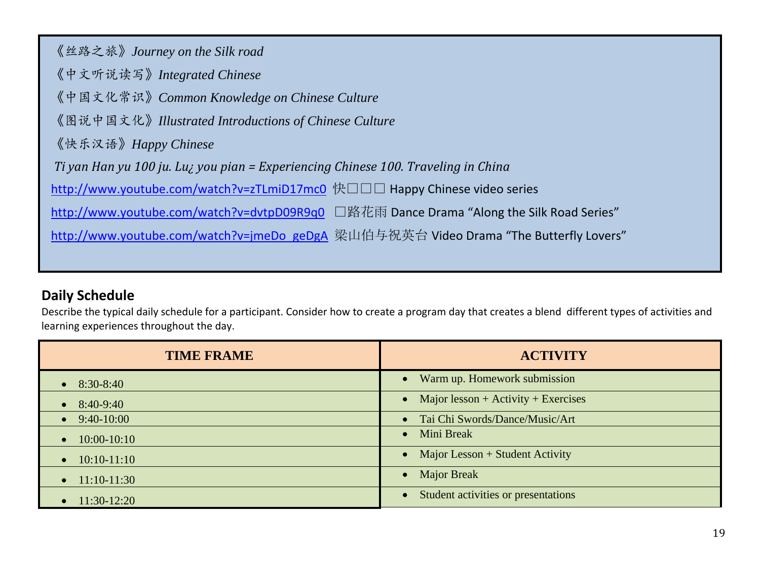| 《丝路之旅》Journey on the Silk road                                                           |
|------------------------------------------------------------------------------------------|
| 《中文听说读写》 Integrated Chinese                                                              |
| 《中国文化常识》Common Knowledge on Chinese Culture                                              |
| 《图说中国文化》Illustrated Introductions of Chinese Culture                                     |
| 《快乐汉语》Happy Chinese                                                                      |
| Ti yan Han yu 100 ju. Luz you pian = Experiencing Chinese 100. Traveling in China        |
| http://www.youtube.com/watch?v=zTLmiD17mc0 快口口口 Happy Chinese video series               |
| http://www.youtube.com/watch?v=dvtpD09R9q0 □路花雨 Dance Drama "Along the Silk Road Series" |
| http://www.youtube.com/watch?v=jmeDo_geDgA 梁山伯与祝英台 Video Drama "The Butterfly Lovers"    |
|                                                                                          |

### **Daily Schedule**

Describe the typical daily schedule for a participant. Consider how to create a program day that creates a blend different types of activities and learning experiences throughout the day.

| <b>TIME FRAME</b>        | <b>ACTIVITY</b>                                  |
|--------------------------|--------------------------------------------------|
| $\bullet$ 8:30-8:40      | Warm up. Homework submission                     |
| $8:40-9:40$<br>$\bullet$ | Major lesson + Activity + Exercises<br>$\bullet$ |
| $\bullet$ 9:40-10:00     | • Tai Chi Swords/Dance/Music/Art                 |
| $\bullet$ 10:00-10:10    | Mini Break<br>$\bullet$                          |
| $\bullet$ 10:10-11:10    | Major Lesson + Student Activity                  |
| $\bullet$ 11:10-11:30    | <b>Major Break</b>                               |
| $11:30-12:20$            | Student activities or presentations              |